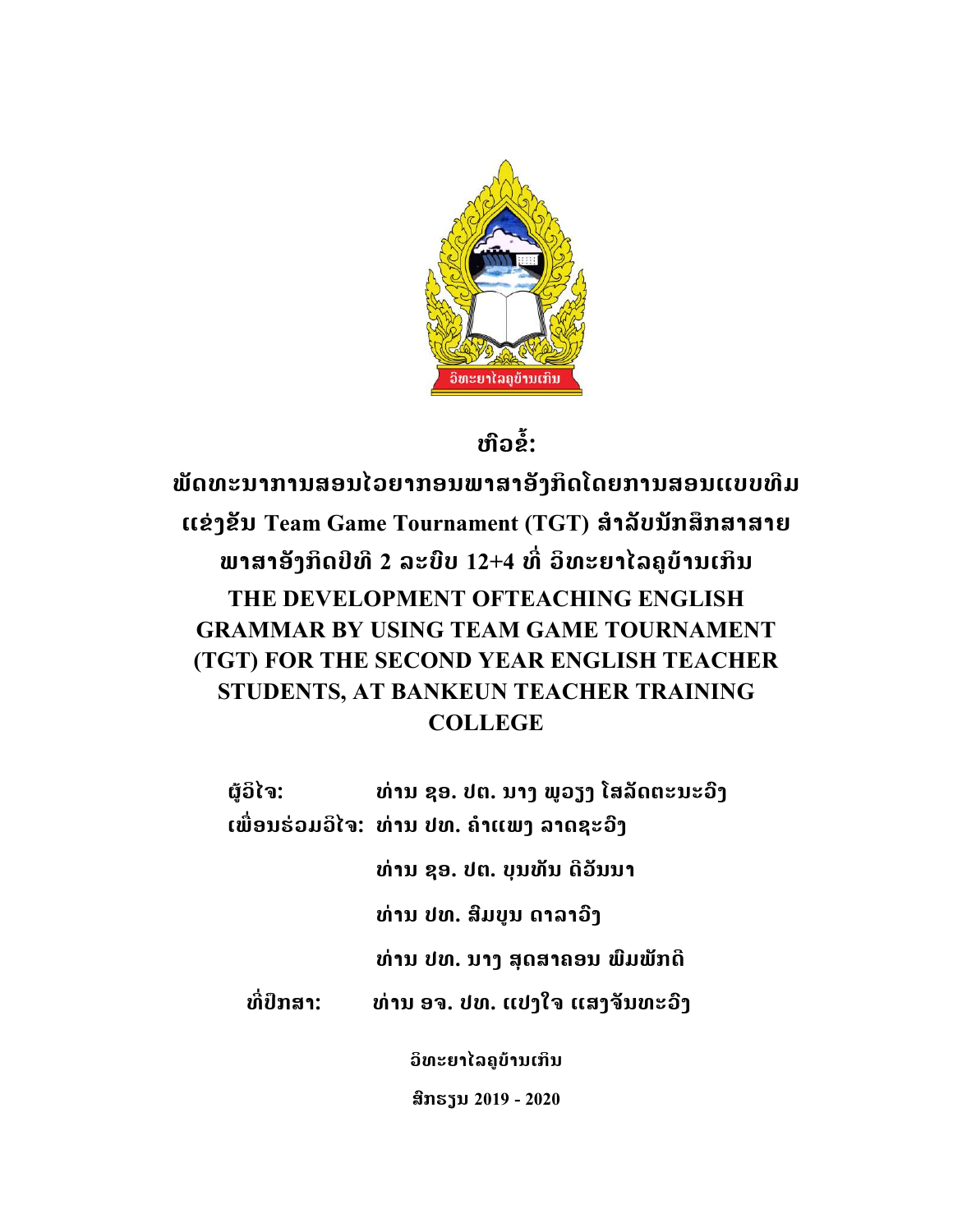

## ໜື່ວຂໍ້:

ພັດທະນາການສອນໄວຍາກອນພາສາອັງກິດໂດຍການສອນແບບທີມ  $\mathfrak{c}$ ເຂ່ງຂັນ Team Game Tournament (TGT) ສໍາລັບນັກສຶກສາສາຍ ພາສາອັງກິດປີທີ 2 ລະບົບ 12+4 ທີ່ ວິທະຍາໄລຄູບ້ານເກິນ THE DEVELOPMENT OFTEACHING ENGLISH GRAMMAR BY USING TEAM GAME TOURNAMENT (TGT) FOR THE SECOND YEAR ENGLISH TEACHER STUDENTS, AT BANKEUN TEACHER TRAINING **COLLEGE** 

ຜູ້ວິໄຈ: ທ່ານ ຊອ. ປຕ. ນາງ ພູວຽງ ໂສລັດຕະນະວົງ ເພື່ອນຮ່ວມວິໄຈ: ທ່ານ ປທ. ຄຳແພງ ລາດຊະວົງ ທdານ ຊອ. ປຕ. ບຸນທັນ ດີວັນນາ ທ່ານ ປທ. ສິມບູນ ດາລາວົງ ທ່ານ ປທ. ນາງ ສຸດສາຄອນ ພົມພັກດີ ທີ່ປຶກສາ: ທ່ານ ອຈ. ປທ. ແປງໃຈ ແສງຈັນທະວົງ ວິທະຍາໄລຄູບ້ານເກິນ

ສົກຮຽນ 2019 - 2020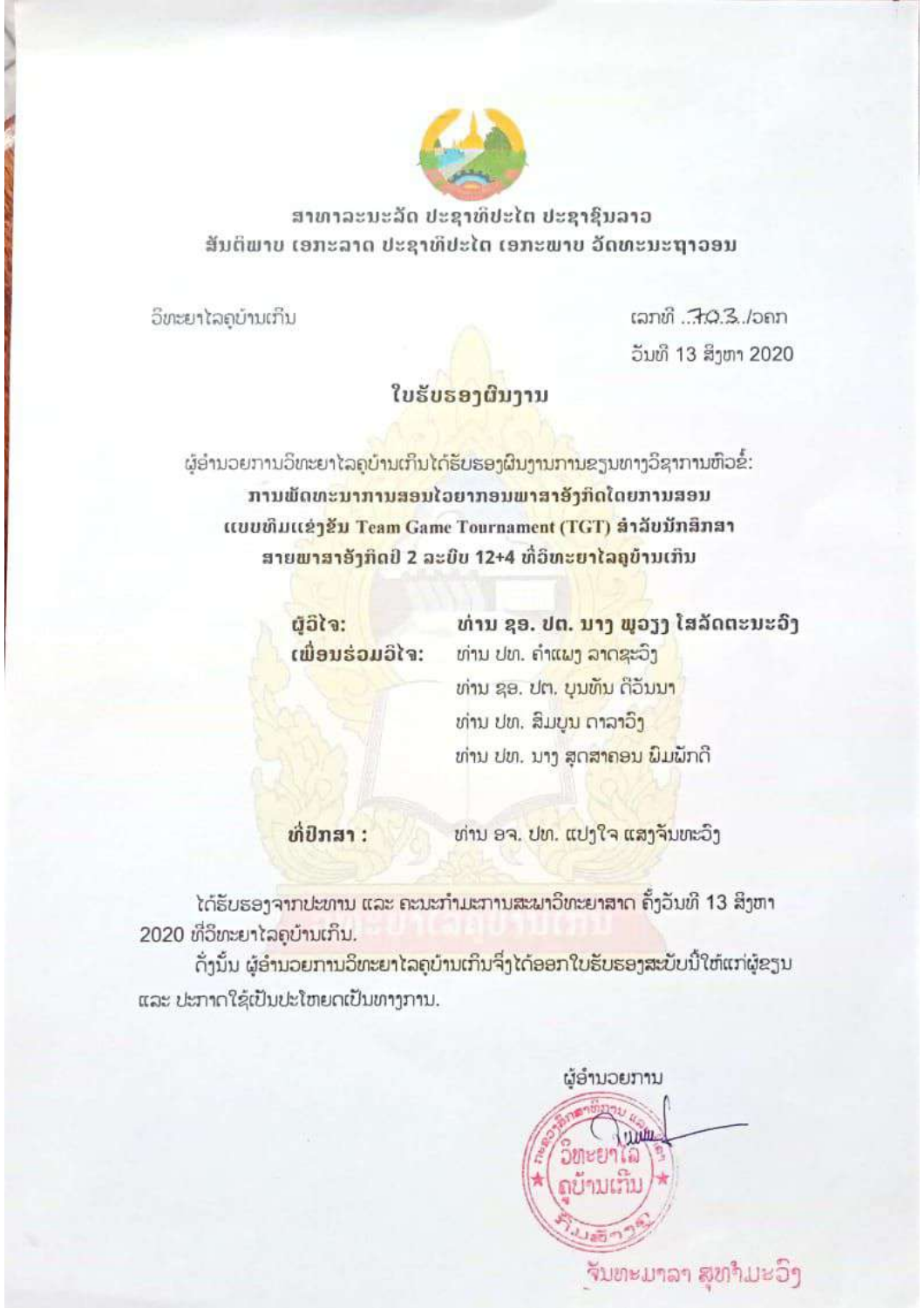

ສາທາລະນະລັດ ປະຊາທິປະໄຕ ປະຊາຊົນລາວ ສັນຕິພາບ ເອກະລາດ ປະຊາທິປະໄຕ ເອກະພາບ ວັດທະນະຖາວອນ

ວິທະຍາໄລຄບ້ານເກິນ

 $tan\theta$ ,  $703$ ,  $tan$ ວັນທີ 13 ສິງຫາ 2020

## ໃບຮັບຮອງຜືນງານ

ຜູ້ອຳນວຍການວິທະຍາໄລຄູ<mark>ບຳນເກິນໄດ້ຮັບຮອງຜົນງານການຂ</mark>ຽນທາງວິຊາການຫົວຂໍ້: ການພັດທະນາການສອນໄວຍາກອນພາສາອັງກິດໂດຍການສອນ แบบທีมแล้วสั้น Team Game Tournament (TGT) สำลับมักสึกสา ສາຍ<mark>ພາສາອັງກິດປີ 2</mark> ລະບົບ 12+4 ທີ່ວິທ<mark>ະຍາໄລຄູ</mark>ບ້ານເກີນ

> มีอิโจ: ເພື່ອນຮ່ວມວິໄຈ:

ທ່ານ ຊອ. ປຕ. ນາງ ພວງງ ໂສລັດຕະນະວົງ ທ່ານ ປທ. ຄຳແ<mark>ພງ ລາດຊະ</mark>ວົງ ທ່ານ ຊອ. ປຕ. ບຸນທຶນ ດີວັນນາ ທ່ານ ປທ. ສິມ<mark>ບນ ດາລາວິງ</mark> ທ່ານ ປທ. ນາງ ສຸດສາຄອນ ມິມພັກດີ

ທີ່ປົກສາ:

ທ່ານ ອຈ. ປທ. ແປງໃຈ ແສງຈັນທະວົງ

ໄດ້ຮັບຮອງຈາກປະທານ ແລະ ຄະນະກຳມະການສະພາວິທະຍາສາດ ຄັ້ງວັນທີ 13 ສິງຫາ 2020 ທີ່ວິທະຍາໄລຄບ້ານເກິນ.

ດັ່ງນັ້ນ ຜູ້ອຳນວຍການວິທະຍາໄລຄຸບ້ານເກິນຈິ່ງໄດ້ອອກໃບຮັບຮອງສະບັບນີ້ໃຫ້ແກ່ຜູ້ຂຽນ และ ปะภากใຊ້ເປັນປະໂຫຍດເປັນທາງການ.

ຜູ້ອຳນວຍການ **OMEE** ถย์คม ຈັນທະມາລາ ສຸທາມະວິງ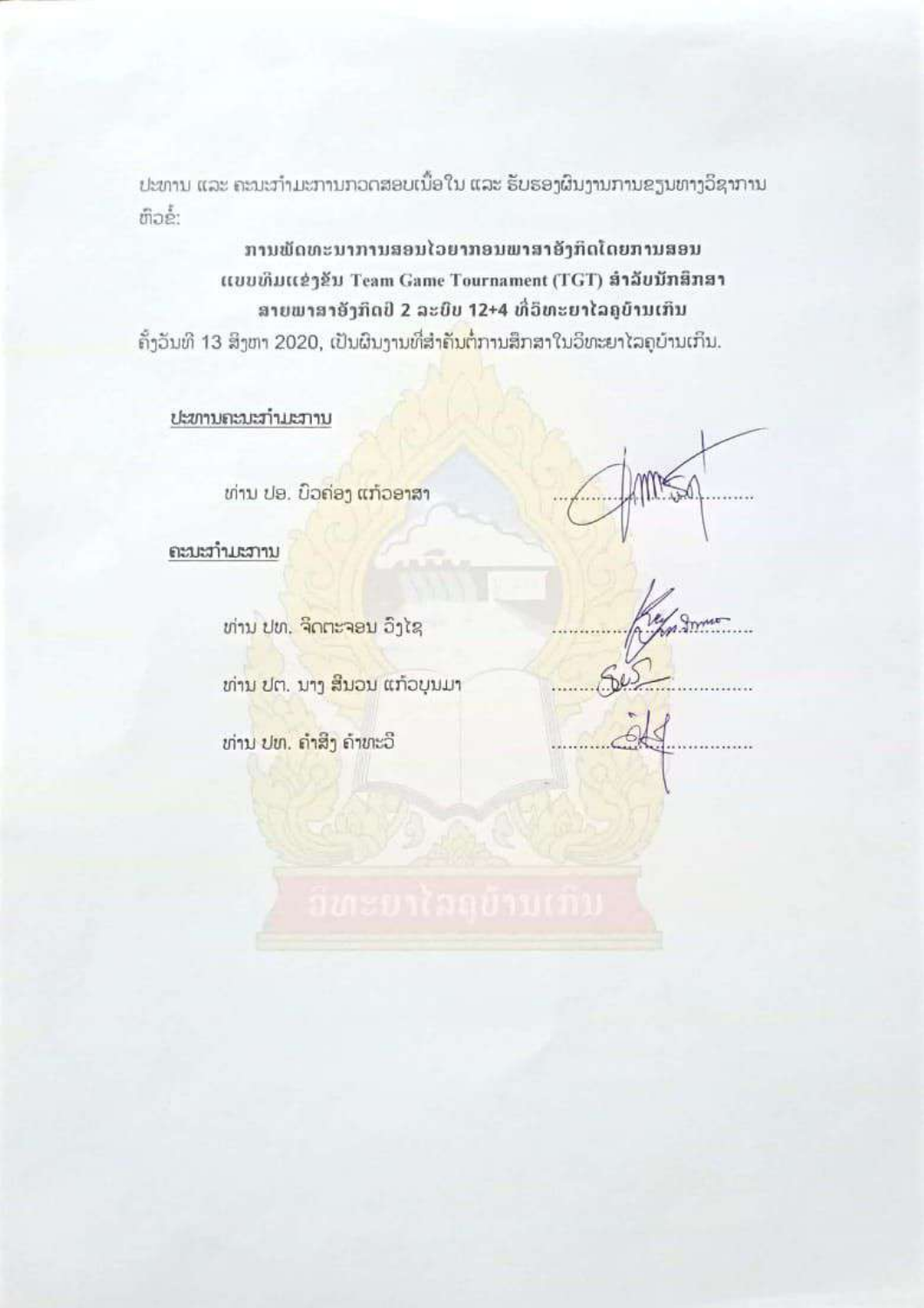ປະທານ ແລະ ຄະນະກຳມະການກວດສອບເນື້ອໃນ ແລະ ຮັບຮອງຜົນງານການຂຽນທາງວິຊາການ ຫົວຂໍ້:

ການພັດທະນາການສອນໄວຍາກອນພາສາອັງກິດໂດຍການສອນ แบบเห็มแข่ๆยับ Team Game Tournament (TGT) สำลับบัทสิทสา ສາຍພາສາອັງກິດປີ 2 ລະບົບ 12+4 ທີ່ວິທະຍາໄລຄູບ້ານເກິນ

ຄັ້ງວັນທີ 13 ສິງຫາ 2020, ເປັນຜົນງານທີ່ສຳ<mark>ຄັນຕໍ່</mark>ການສຶກສາໃນວິທະຍາໄລຄູບ້ານເກິນ.

ປະທານຄະນະກຳມະການ

ທ່ານ ປອ. ບິວຄ່ອງ ແກ້ວອາສາ

ຄະນະກຳມະການ

ທ່ານ ປທ. ຈິດຕະຈອນ ວິງໄຊ

ທ່ານ ປຕ. ນາງ ສິນວນ ແກ້ວບຸນມາ

ທ່ານ ປທ. ຄຳສິ່ງ ຄຳທະວີ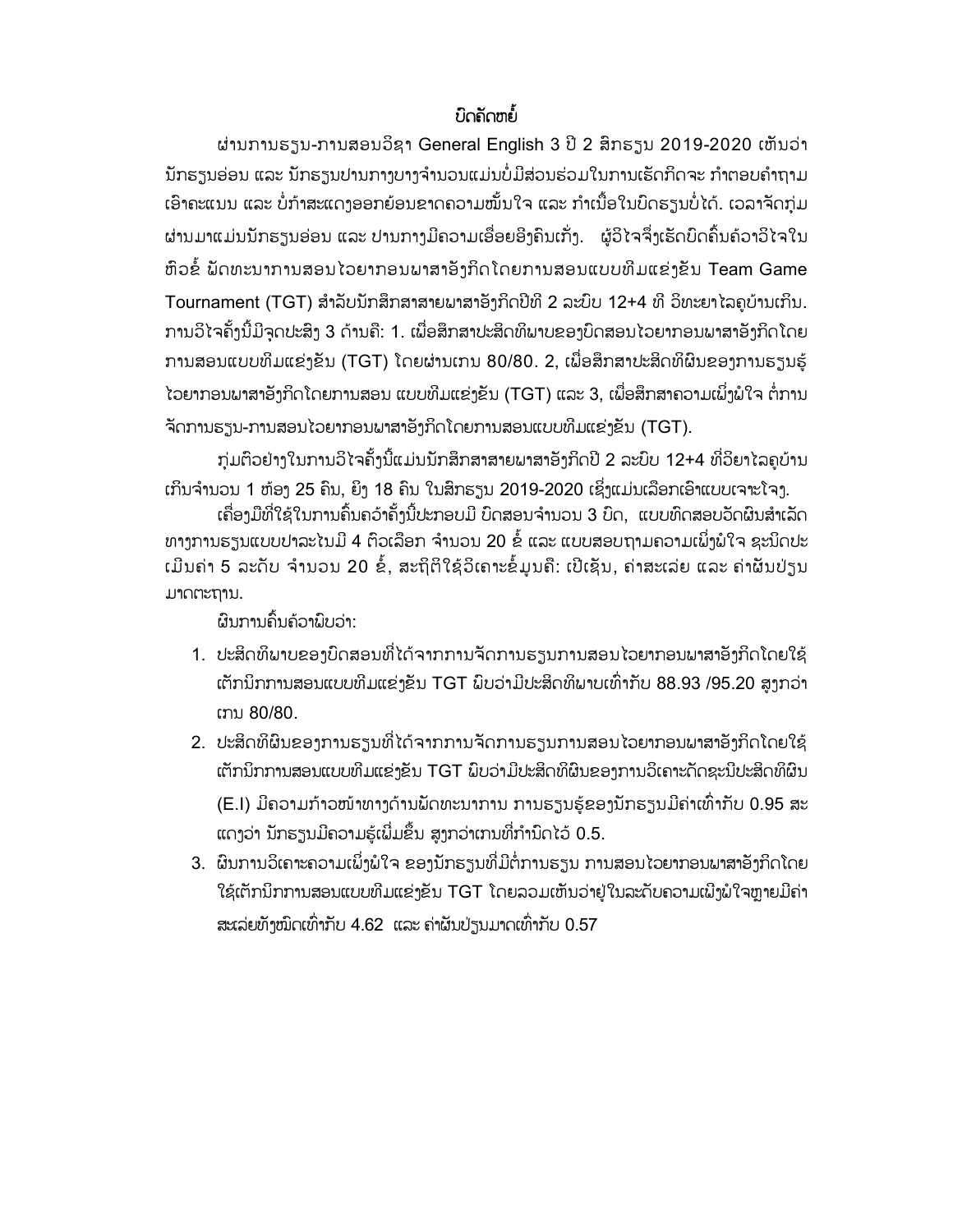## *່* ບິດຄັດຫຍໍ້

ຜ່ານການຮຽນ-ການສອນວິຊາ General English 3 ປີ 2 ສຶກຮຽນ 2019-2020 ເຫັນວ່າ ນັກຮຽນອ່ອນ ແລະ ນັກຮຽນປານກາງບາງຈຳນວນແມ່ນບໍ່ມີສ່ວນຮ່ວມໃນການເຮັດກິດຈະ ກຳຕອບຄຳຖາມ ເອົາຄະແນນ ແລະ ບໍ່ກຳສະແດງອອກຍ້ອນຂາດຄວາມໝັ້ນໃຈ ແລະ ກຳເນື້ອໃນບົດຮຽນບໍ່ໄດ້. ເວລາຈັດກຸ່ມ ຜ່ານມາແມ່ນນັກຮຽນອ່ອນ ແລະ ປານກາງມີຄວາມເອື່ອຍອີງຄົນເກັ່ງ. ຜູ້ວິໄຈຈຶ່ງເຮັດບົດຄົ້ນຄ໌ວາວິໄຈໃນ ຫົວຂໍ້ ພັດທະນາການສອນໄວຍາກອນພາສາອັງກິດໂດຍການສອນແບບທີມແຂ່ງຂັນ Team Game Tournament (TGT) ສໍາລັບນັກສຶກສາສາຍພາສາອັງກິດປີທີ 2 ລະບົບ 12+4 ທີ່ ວິທະຍາ ໄລຄບ້ານເກິນ. ການວິໄຈຄັ້ງນີ້ມີຈຸດປະສິງ 3 ດ້ານຄື: 1. ເພື່ອສຶກສາປະສິດທິພາບຂອງບົດສອນໄວຍາກອນພາສາອັງກິດໂດຍ ການສອນແບບທີມແຂ່ງຂັນ (TGT) ໂດຍຜ່ານເກນ 80/80. 2, ເພື່ອສຶກສາປະສິດທິຜິນຂອງການຮຽນຮູ້ ໄວຍາກອນພາສາອັງກິດໂດຍການສອນ ແບບທີມແຂ່ງຂັນ (TGT) ແລະ 3, ເພື່ອສຶກສາຄວາມເພິ່ງພໍໃຈ ຕໍ່ການ ຈັດການຮຽນ-ການສອນໄວຍາກອນພາສາອັງກິດໂດຍການສອນແບບທີມແຂ່ງຂັນ (TGT).

ກຸ່ມຕົວຢ່າງໃນການວິໄຈຄັ້ງນີ້ແມ່ນນັກສຶກສາສາຍພາສາອັງກິດປີ 2 ລະບົບ 12+4 ທີ່ວິຍາໄລຄູບ້ານ ເກິນຈຳນວນ 1 ຫ້ອງ 25 ຄົນ, ຍິງ 18 ຄົນ ໃນສຶກຮຽນ 2019-2020 ເຊິ່ງແມ່ນເລືອກເອົາແບບເຈາະໂຈງ.

ເຄື່ອງມືທີ່ໃຊ້ໃນການຄົ້ນຄວ້າຄັ້ງນີ້ປະກອບມີ ບົດສອນຈຳນວນ 3 ບົດ, ແບບທົດສອບວັດຜົນສຳເລັດ ທາງການຮຽນແບບປາລະໄນມີ 4 ຕົວເລືອກ ຈຳນວນ 20 ຂໍ້ ແລະ ແບບສອບຖາມຄວາມເພິ່ງພໍໃຈ ຊະນິດປະ ເມີນຄ່າ 5 ລະດັບ ຈຳນວນ 20 ຂໍ້, ສະຖິຕິໃຊ້ວິເຄາະຂໍ້ມູນຄື: ເປີເຊັນ, ຄ່າສະເລ່ຍ ແລະ ຄ່າຜັນປ່ຽນ ມາດຕະຖານ.

ຜົນການຄົ້ນຄ້ວາພົບວ່າ:

- 1. ປະສິດທິພາບຂອງບົດສອນທີ່ໄດ້ຈາກການຈັດການຮຽນການສອນໄວຍາກອນພາສາອັງກິດໂດຍໃຊ້ ເຕັກນິກການສອນແບບທີມແຂ່ງຂັນ TGT ພິບວ່າມີປະສິດທິພາບເທົ່າກັບ 88.93 /95.20 ສູງກວ່າ ເກນ 80/80.
- 2. ປະສິດທິຜິນຂອງການຮຽນທີ່ໄດ້ຈາກການຈັດການຮຽນການສອນໄວຍາກອນພາສາອັງກິດໂດຍໃຊ້ ເຕັກນິກການສອນແບບທີມແຂ່ງຂັນ TGT ມິບວ່າມີປະສິດທິຜິນຂອງການວິເຄາະດັດຊະນີປະສິດທິຜິນ (E.I) ມີຄວາມກ້າວໜ້າທາງດ້ານພັດທະນາການ ການຮຽນຮູ້ຂອງນັກຮຽນມີຄ່າເທົ່າກັບ 0.95 ສະ ແດງວ່າ ນັກຮຽນມີຄວາມຮູ້ເພີ່ມຂຶ້ນ ສູງກວ່າເກນທີ່ກຳນົດໄວ້ 0.5.
- 3. ຜິນການວິເຄາະຄວາມເພິ່ງພໍໃຈ ຂອງນັກຮຽນທີ່ມີຕໍ່ການຮຽນ ການສອນໄວຍາກອນພາສາອັງກິດໂດຍ ໃຊ້ເຕັກນິກການສອນແບບທີມແຂ່ງຂັນ TGT ໂດຍລວມເຫັນວ່າຢູ່ໃນລະດັບຄວາມເພີງພໍໃຈຫຼາຍມີຄ່າ ສະເລ່ຍທັງໝົດເທົ່າກັບ 4.62 ແລະ ຄ່າຜັນປ່ຽນມາດເທົ່າກັບ 0.57